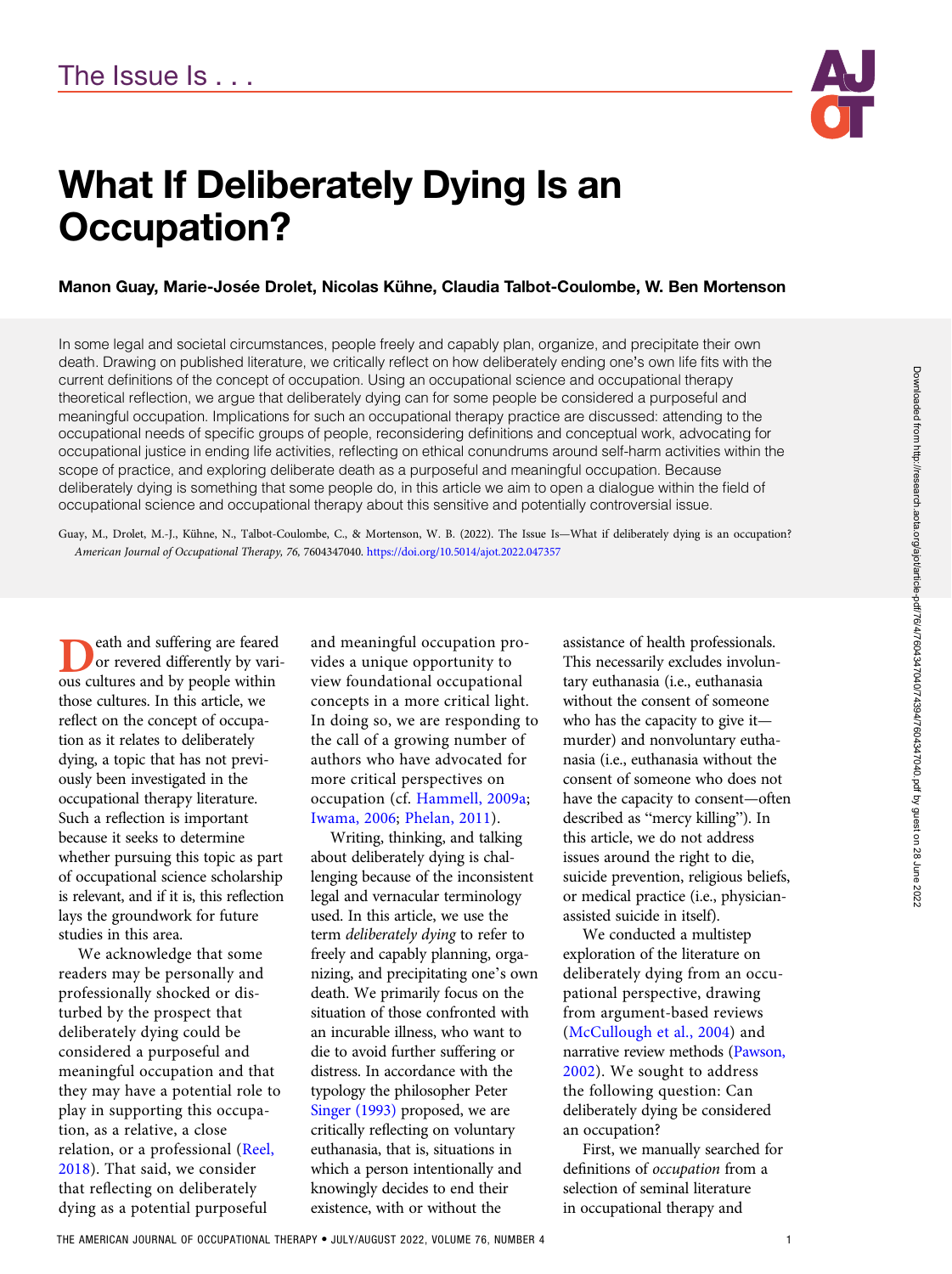

# What If Deliberately Dying Is an Occupation?

### Manon Guay, Marie-Josée Drolet, Nicolas Kühne, Claudia Talbot-Coulombe, W. Ben Mortenson

In some legal and societal circumstances, people freely and capably plan, organize, and precipitate their own death. Drawing on published literature, we critically reflect on how deliberately ending one's own life fits with the current definitions of the concept of occupation. Using an occupational science and occupational therapy theoretical reflection, we argue that deliberately dying can for some people be considered a purposeful and meaningful occupation. Implications for such an occupational therapy practice are discussed: attending to the occupational needs of specific groups of people, reconsidering definitions and conceptual work, advocating for occupational justice in ending life activities, reflecting on ethical conundrums around self-harm activities within the scope of practice, and exploring deliberate death as a purposeful and meaningful occupation. Because deliberately dying is something that some people do, in this article we aim to open a dialogue within the field of occupational science and occupational therapy about this sensitive and potentially controversial issue.

Guay, M., Drolet, M.-J., Kühne, N., Talbot-Coulombe, C., & Mortenson, W. B. (2022). The Issue Is—What if deliberately dying is an occupation? American Journal of Occupational Therapy, 76, 7604347040. https://doi.org/10.5014/ajot.2022.047357

eath and suffering are feared or revered differently by various cultures and by people within those cultures. In this article, we reflect on the concept of occupation as it relates to deliberately dying, a topic that has not previously been investigated in the occupational therapy literature. Such a reflection is important because it seeks to determine whether pursuing this topic as part of occupational science scholarship is relevant, and if it is, this reflection lays the groundwork for future studies in this area.

We acknowledge that some readers may be personally and professionally shocked or disturbed by the prospect that deliberately dying could be considered a purposeful and meaningful occupation and that they may have a potential role to play in supporting this occupation, as a relative, a close relation, or a professional ([Reel,](#page-7-0) [2018](#page-7-0)). That said, we consider that reflecting on deliberately dying as a potential purposeful

and meaningful occupation provides a unique opportunity to view foundational occupational concepts in a more critical light. In doing so, we are responding to the call of a growing number of authors who have advocated for more critical perspectives on occupation (cf. [Hammell, 2009a](#page-6-0); [Iwama, 2006](#page-7-0); [Phelan, 2011\)](#page-7-0).

Writing, thinking, and talking about deliberately dying is challenging because of the inconsistent legal and vernacular terminology used. In this article, we use the term deliberately dying to refer to freely and capably planning, organizing, and precipitating one's own death. We primarily focus on the situation of those confronted with an incurable illness, who want to die to avoid further suffering or distress. In accordance with the typology the philosopher Peter [Singer \(1993\)](#page-7-0) proposed, we are critically reflecting on voluntary euthanasia, that is, situations in which a person intentionally and knowingly decides to end their existence, with or without the

assistance of health professionals. This necessarily excludes involuntary euthanasia (i.e., euthanasia without the consent of someone who has the capacity to give it murder) and nonvoluntary euthanasia (i.e., euthanasia without the consent of someone who does not have the capacity to consent—often described as "mercy killing"). In this article, we do not address issues around the right to die, suicide prevention, religious beliefs, or medical practice (i.e., physicianassisted suicide in itself).

We conducted a multistep exploration of the literature on deliberately dying from an occupational perspective, drawing from argument-based reviews [\(McCullough et al., 2004](#page-7-0)) and narrative review methods ([Pawson,](#page-7-0) [2002\)](#page-7-0). We sought to address the following question: Can deliberately dying be considered an occupation?

First, we manually searched for definitions of occupation from a selection of seminal literature in occupational therapy and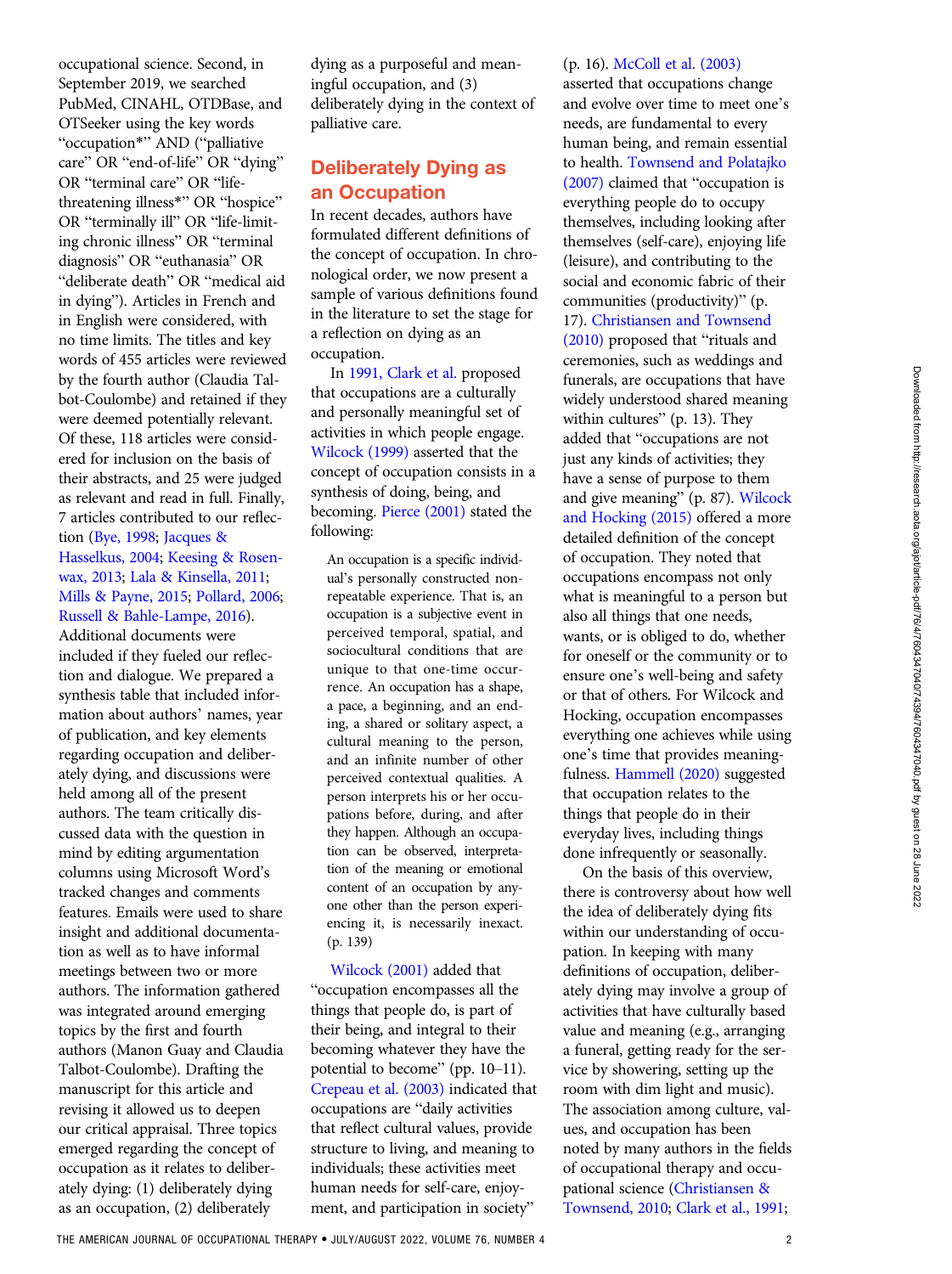occupational science. Second, in September 2019, we searched PubMed, CINAHL, OTDBase, and OTSeeker using the key words "occupation\*" AND ("palliative care" OR "end-of-life" OR "dying" OR "terminal care" OR "lifethreatening illness\*" OR "hospice" OR "terminally ill" OR "life-limiting chronic illness" OR "terminal diagnosis" OR "euthanasia" OR "deliberate death" OR "medical aid in dying"). Articles in French and in English were considered, with no time limits. The titles and key words of 455 articles were reviewed by the fourth author (Claudia Talbot-Coulombe) and retained if they were deemed potentially relevant. Of these, 118 articles were considered for inclusion on the basis of their abstracts, and 25 were judged as relevant and read in full. Finally, 7 articles contributed to our reflection ([Bye, 1998](#page-6-0); [Jacques &](#page-7-0) [Hasselkus, 2004](#page-7-0); [Keesing & Rosen](#page-7-0)[wax, 2013;](#page-7-0) [Lala & Kinsella, 2011](#page-7-0); [Mills & Payne, 2015](#page-7-0); [Pollard, 2006;](#page-7-0) [Russell & Bahle-Lampe, 2016\)](#page-7-0).

Additional documents were included if they fueled our reflection and dialogue. We prepared a synthesis table that included information about authors' names, year of publication, and key elements regarding occupation and deliberately dying, and discussions were held among all of the present authors. The team critically discussed data with the question in mind by editing argumentation columns using Microsoft Word's tracked changes and comments features. Emails were used to share insight and additional documentation as well as to have informal meetings between two or more authors. The information gathered was integrated around emerging topics by the first and fourth authors (Manon Guay and Claudia Talbot-Coulombe). Drafting the manuscript for this article and revising it allowed us to deepen our critical appraisal. Three topics emerged regarding the concept of occupation as it relates to deliberately dying: (1) deliberately dying as an occupation, (2) deliberately

dying as a purposeful and meaningful occupation, and (3) deliberately dying in the context of palliative care.

## Deliberately Dying as an Occupation

In recent decades, authors have formulated different definitions of the concept of occupation. In chronological order, we now present a sample of various definitions found in the literature to set the stage for a reflection on dying as an occupation.

In [1991, Clark et al.](#page-6-0) proposed that occupations are a culturally and personally meaningful set of activities in which people engage. [Wilcock \(1999\)](#page-8-0) asserted that the concept of occupation consists in a synthesis of doing, being, and becoming. [Pierce \(2001\)](#page-7-0) stated the following:

An occupation is a specific individual's personally constructed nonrepeatable experience. That is, an occupation is a subjective event in perceived temporal, spatial, and sociocultural conditions that are unique to that one-time occurrence. An occupation has a shape, a pace, a beginning, and an ending, a shared or solitary aspect, a cultural meaning to the person, and an infinite number of other perceived contextual qualities. A person interprets his or her occupations before, during, and after they happen. Although an occupation can be observed, interpretation of the meaning or emotional content of an occupation by anyone other than the person experiencing it, is necessarily inexact. (p. 139)

[Wilcock \(2001\)](#page-8-0) added that "occupation encompasses all the things that people do, is part of their being, and integral to their becoming whatever they have the potential to become" (pp. 10–11). [Crepeau et al. \(2003\)](#page-6-0) indicated that occupations are "daily activities that reflect cultural values, provide structure to living, and meaning to individuals; these activities meet human needs for self-care, enjoyment, and participation in society"

#### (p. 16). [McColl et al. \(2003\)](#page-7-0)

asserted that occupations change and evolve over time to meet one's needs, are fundamental to every human being, and remain essential to health. [Townsend and Polatajko](#page-7-0) [\(2007\)](#page-7-0) claimed that "occupation is everything people do to occupy themselves, including looking after themselves (self-care), enjoying life (leisure), and contributing to the social and economic fabric of their communities (productivity)" (p.

17). [Christiansen and Townsend](#page-6-0)

[\(2010\)](#page-6-0) proposed that "rituals and ceremonies, such as weddings and funerals, are occupations that have widely understood shared meaning within cultures" (p. 13). They added that "occupations are not just any kinds of activities; they have a sense of purpose to them and give meaning" (p. 87). [Wilcock](#page-8-0) [and Hocking \(2015\)](#page-8-0) offered a more detailed definition of the concept of occupation. They noted that occupations encompass not only what is meaningful to a person but also all things that one needs, wants, or is obliged to do, whether for oneself or the community or to ensure one's well-being and safety or that of others. For Wilcock and Hocking, occupation encompasses everything one achieves while using one's time that provides meaningfulness. [Hammell \(2020\)](#page-7-0) suggested that occupation relates to the things that people do in their everyday lives, including things done infrequently or seasonally.

On the basis of this overview, there is controversy about how well the idea of deliberately dying fits within our understanding of occupation. In keeping with many definitions of occupation, deliberately dying may involve a group of activities that have culturally based value and meaning (e.g., arranging a funeral, getting ready for the service by showering, setting up the room with dim light and music). The association among culture, values, and occupation has been noted by many authors in the fields of occupational therapy and occupational science [\(Christiansen &](#page-6-0) [Townsend, 2010](#page-6-0); [Clark et al., 1991;](#page-6-0)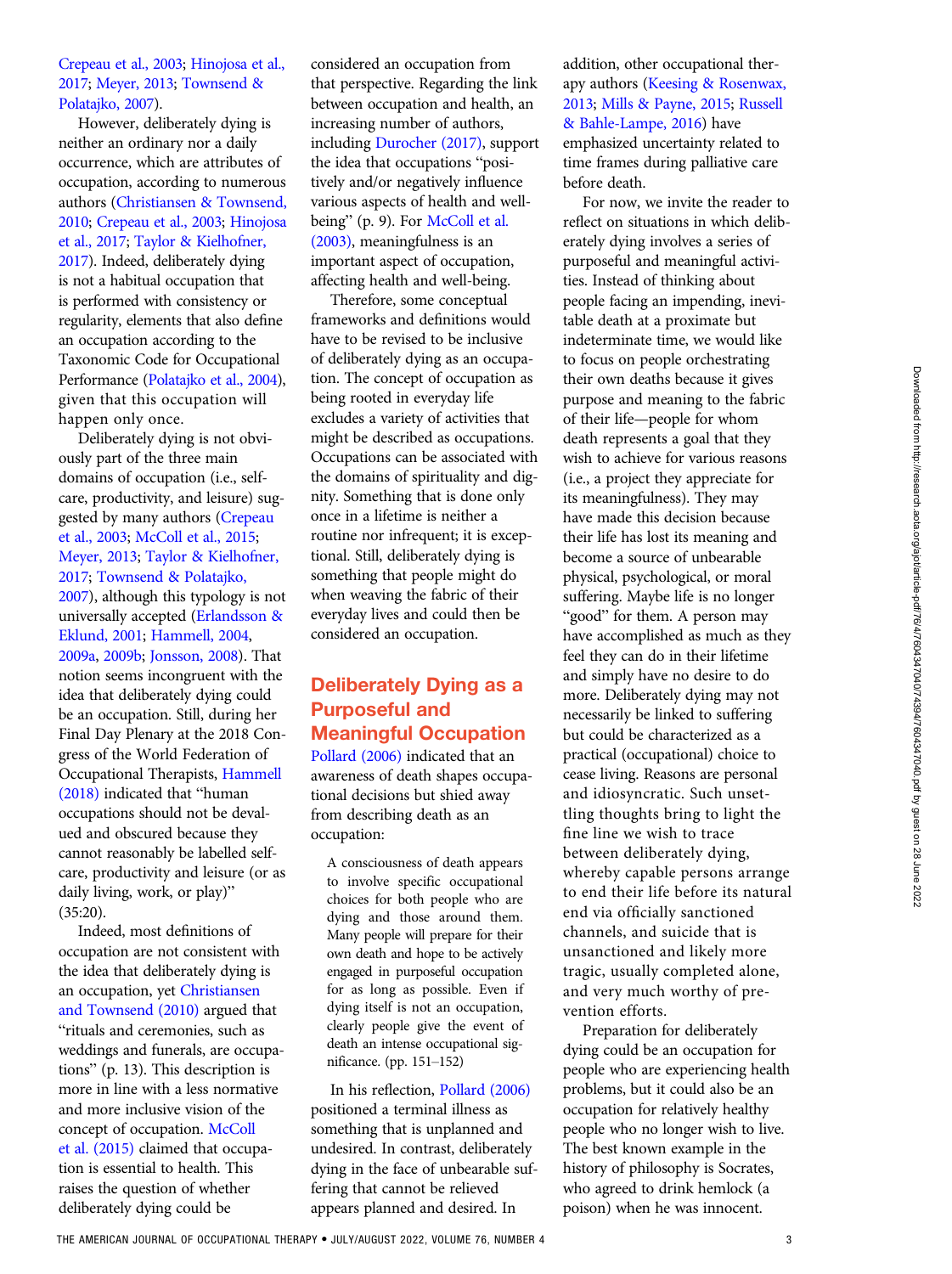### [Crepeau et al., 2003](#page-6-0); [Hinojosa et al.,](#page-7-0) [2017](#page-7-0); [Meyer, 2013;](#page-7-0) [Townsend &](#page-7-0) [Polatajko, 2007\)](#page-7-0).

However, deliberately dying is neither an ordinary nor a daily occurrence, which are attributes of occupation, according to numerous authors [\(Christiansen & Townsend,](#page-6-0) [2010](#page-6-0); [Crepeau et al., 2003](#page-6-0); [Hinojosa](#page-7-0) [et al., 2017](#page-7-0); [Taylor & Kielhofner,](#page-7-0) [2017](#page-7-0)). Indeed, deliberately dying is not a habitual occupation that is performed with consistency or regularity, elements that also define an occupation according to the Taxonomic Code for Occupational Performance [\(Polatajko et al., 2004](#page-7-0)), given that this occupation will happen only once.

Deliberately dying is not obviously part of the three main domains of occupation (i.e., selfcare, productivity, and leisure) suggested by many authors ([Crepeau](#page-6-0) [et al., 2003](#page-6-0); [McColl et al., 2015;](#page-7-0) [Meyer, 2013](#page-7-0); [Taylor & Kielhofner,](#page-7-0) [2017](#page-7-0); [Townsend & Polatajko,](#page-7-0) [2007](#page-7-0)), although this typology is not universally accepted [\(Erlandsson &](#page-6-0) [Eklund, 2001;](#page-6-0) [Hammell, 2004,](#page-6-0) [2009a,](#page-6-0) [2009b](#page-6-0); [Jonsson, 2008](#page-7-0)). That notion seems incongruent with the idea that deliberately dying could be an occupation. Still, during her Final Day Plenary at the 2018 Congress of the World Federation of Occupational Therapists, [Hammell](#page-7-0) [\(2018\)](#page-7-0) indicated that "human occupations should not be devalued and obscured because they cannot reasonably be labelled selfcare, productivity and leisure (or as daily living, work, or play)" (35:20).

Indeed, most definitions of occupation are not consistent with the idea that deliberately dying is an occupation, yet [Christiansen](#page-6-0) [and Townsend \(2010\)](#page-6-0) argued that "rituals and ceremonies, such as weddings and funerals, are occupations" (p. 13). This description is more in line with a less normative and more inclusive vision of the concept of occupation. [McColl](#page-7-0) [et al. \(2015\)](#page-7-0) claimed that occupation is essential to health. This raises the question of whether deliberately dying could be

considered an occupation from that perspective. Regarding the link between occupation and health, an increasing number of authors, including [Durocher \(2017\)](#page-6-0), support the idea that occupations "positively and/or negatively influence various aspects of health and well-being" (p. 9). For [McColl et al.](#page-7-0) [\(2003\),](#page-7-0) meaningfulness is an important aspect of occupation, affecting health and well-being.

Therefore, some conceptual frameworks and definitions would have to be revised to be inclusive of deliberately dying as an occupation. The concept of occupation as being rooted in everyday life excludes a variety of activities that might be described as occupations. Occupations can be associated with the domains of spirituality and dignity. Something that is done only once in a lifetime is neither a routine nor infrequent; it is exceptional. Still, deliberately dying is something that people might do when weaving the fabric of their everyday lives and could then be considered an occupation.

# Deliberately Dying as a Purposeful and Meaningful Occupation

[Pollard \(2006\)](#page-7-0) indicated that an awareness of death shapes occupational decisions but shied away from describing death as an occupation:

A consciousness of death appears to involve specific occupational choices for both people who are dying and those around them. Many people will prepare for their own death and hope to be actively engaged in purposeful occupation for as long as possible. Even if dying itself is not an occupation, clearly people give the event of death an intense occupational significance. (pp. 151–152)

In his reflection, [Pollard \(2006\)](#page-7-0) positioned a terminal illness as something that is unplanned and undesired. In contrast, deliberately dying in the face of unbearable suffering that cannot be relieved appears planned and desired. In

addition, other occupational therapy authors [\(Keesing & Rosenwax,](#page-7-0) [2013](#page-7-0); [Mills & Payne, 2015;](#page-7-0) [Russell](#page-7-0) [& Bahle-Lampe, 2016](#page-7-0)) have emphasized uncertainty related to time frames during palliative care before death.

For now, we invite the reader to reflect on situations in which deliberately dying involves a series of purposeful and meaningful activities. Instead of thinking about people facing an impending, inevitable death at a proximate but indeterminate time, we would like to focus on people orchestrating their own deaths because it gives purpose and meaning to the fabric of their life—people for whom death represents a goal that they wish to achieve for various reasons (i.e., a project they appreciate for its meaningfulness). They may have made this decision because their life has lost its meaning and become a source of unbearable physical, psychological, or moral suffering. Maybe life is no longer "good" for them. A person may have accomplished as much as they feel they can do in their lifetime and simply have no desire to do more. Deliberately dying may not necessarily be linked to suffering but could be characterized as a practical (occupational) choice to cease living. Reasons are personal and idiosyncratic. Such unsettling thoughts bring to light the fine line we wish to trace between deliberately dying, whereby capable persons arrange to end their life before its natural end via officially sanctioned channels, and suicide that is unsanctioned and likely more tragic, usually completed alone, and very much worthy of prevention efforts.

Preparation for deliberately dying could be an occupation for people who are experiencing health problems, but it could also be an occupation for relatively healthy people who no longer wish to live. The best known example in the history of philosophy is Socrates, who agreed to drink hemlock (a poison) when he was innocent.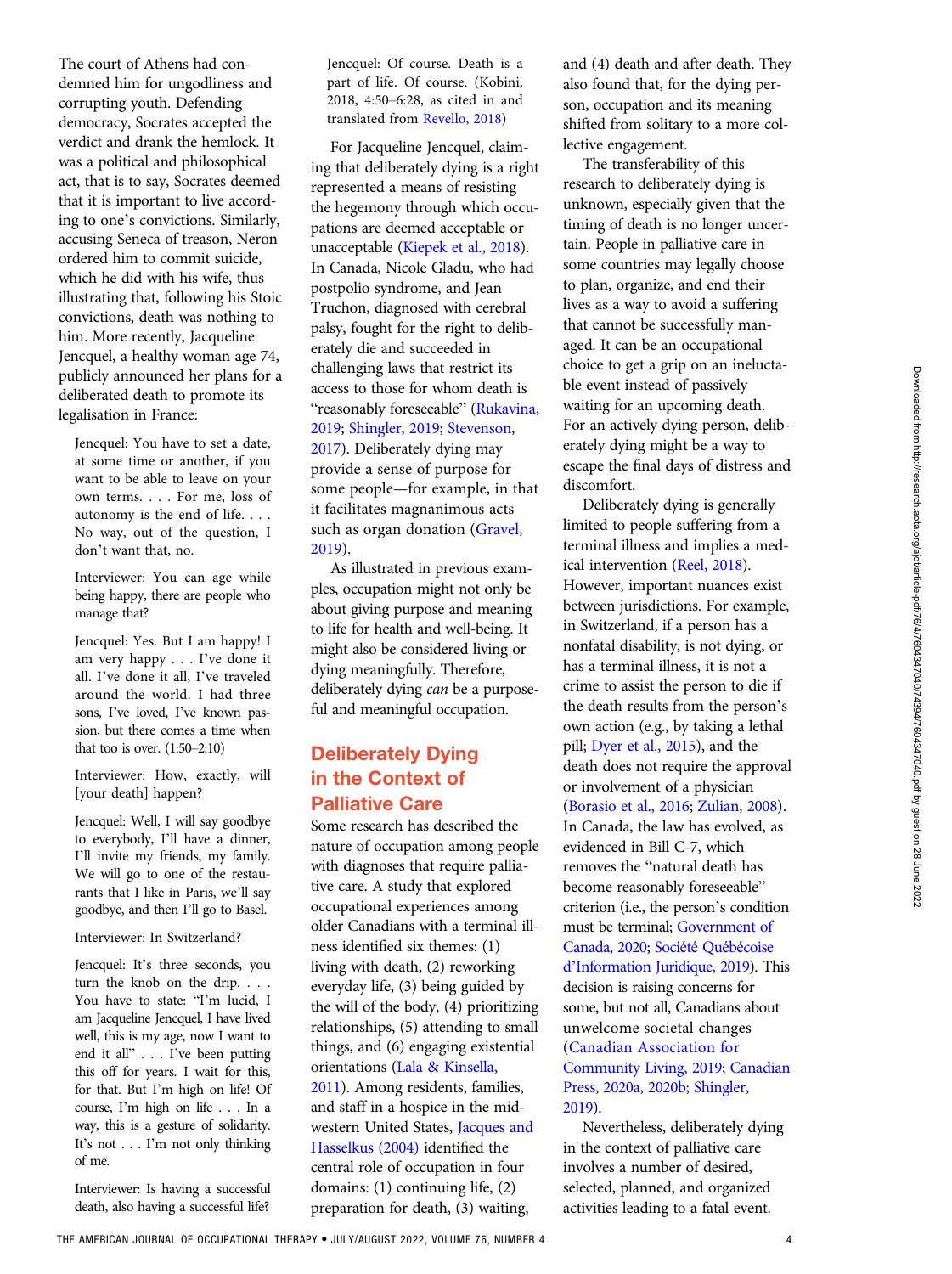The court of Athens had condemned him for ungodliness and corrupting youth. Defending democracy, Socrates accepted the verdict and drank the hemlock. It was a political and philosophical act, that is to say, Socrates deemed that it is important to live according to one's convictions. Similarly, accusing Seneca of treason, Neron ordered him to commit suicide, which he did with his wife, thus illustrating that, following his Stoic convictions, death was nothing to him. More recently, Jacqueline Jencquel, a healthy woman age 74, publicly announced her plans for a deliberated death to promote its legalisation in France:

Jencquel: You have to set a date, at some time or another, if you want to be able to leave on your own terms. . . . For me, loss of autonomy is the end of life. . . . No way, out of the question, I don't want that, no.

Interviewer: You can age while being happy, there are people who manage that?

Jencquel: Yes. But I am happy! I am very happy . . . I've done it all. I've done it all, I've traveled around the world. I had three sons, I've loved, I've known passion, but there comes a time when that too is over. (1:50–2:10)

Interviewer: How, exactly, will [your death] happen?

Jencquel: Well, I will say goodbye to everybody, I'll have a dinner, I'll invite my friends, my family. We will go to one of the restaurants that I like in Paris, we'll say goodbye, and then I'll go to Basel.

Interviewer: In Switzerland?

Jencquel: It's three seconds, you turn the knob on the drip. . . . You have to state: "I'm lucid, I am Jacqueline Jencquel, I have lived well, this is my age, now I want to end it all" ...I've been putting this off for years. I wait for this, for that. But I'm high on life! Of course, I'm high on life . . . In a way, this is a gesture of solidarity. It's not . . . I'm not only thinking of me.

Interviewer: Is having a successful death, also having a successful life?

Jencquel: Of course. Death is a part of life. Of course. (Kobini, 2018, 4:50–6:28, as cited in and translated from [Revello, 2018](#page-7-0))

For Jacqueline Jencquel, claiming that deliberately dying is a right represented a means of resisting the hegemony through which occupations are deemed acceptable or unacceptable ([Kiepek et al., 2018\)](#page-7-0). In Canada, Nicole Gladu, who had postpolio syndrome, and Jean Truchon, diagnosed with cerebral palsy, fought for the right to deliberately die and succeeded in challenging laws that restrict its access to those for whom death is "reasonably foreseeable" [\(Rukavina,](#page-7-0) [2019](#page-7-0); [Shingler, 2019](#page-7-0); [Stevenson,](#page-7-0) [2017](#page-7-0)). Deliberately dying may provide a sense of purpose for some people—for example, in that it facilitates magnanimous acts such as organ donation [\(Gravel,](#page-6-0) [2019](#page-6-0)).

As illustrated in previous examples, occupation might not only be about giving purpose and meaning to life for health and well-being. It might also be considered living or dying meaningfully. Therefore, deliberately dying can be a purposeful and meaningful occupation.

# Deliberately Dying in the Context of Palliative Care

Some research has described the nature of occupation among people with diagnoses that require palliative care. A study that explored occupational experiences among older Canadians with a terminal illness identified six themes: (1) living with death, (2) reworking everyday life, (3) being guided by the will of the body, (4) prioritizing relationships, (5) attending to small things, and (6) engaging existential orientations ([Lala & Kinsella,](#page-7-0) [2011](#page-7-0)). Among residents, families, and staff in a hospice in the midwestern United States, [Jacques and](#page-7-0) [Hasselkus \(2004\)](#page-7-0) identified the central role of occupation in four domains: (1) continuing life, (2) preparation for death, (3) waiting,

and (4) death and after death. They also found that, for the dying person, occupation and its meaning shifted from solitary to a more collective engagement.

The transferability of this research to deliberately dying is unknown, especially given that the timing of death is no longer uncertain. People in palliative care in some countries may legally choose to plan, organize, and end their lives as a way to avoid a suffering that cannot be successfully managed. It can be an occupational choice to get a grip on an ineluctable event instead of passively waiting for an upcoming death. For an actively dying person, deliberately dying might be a way to escape the final days of distress and discomfort.

Deliberately dying is generally limited to people suffering from a terminal illness and implies a medical intervention [\(Reel, 2018](#page-7-0)). However, important nuances exist between jurisdictions. For example, in Switzerland, if a person has a nonfatal disability, is not dying, or has a terminal illness, it is not a crime to assist the person to die if the death results from the person's own action (e.g., by taking a lethal pill; [Dyer et al., 2015](#page-6-0)), and the death does not require the approval or involvement of a physician [\(Borasio et al., 2016;](#page-6-0) [Zulian, 2008\)](#page-8-0). In Canada, the law has evolved, as evidenced in Bill C-7, which removes the "natural death has become reasonably foreseeable" criterion (i.e., the person's condition must be terminal; [Government of](#page-6-0) [Canada, 2020](#page-6-0); Société Québé[coise](#page-7-0) d'[Information Juridique, 2019](#page-7-0)). This decision is raising concerns for some, but not all, Canadians about unwelcome societal changes [\(Canadian Association for](#page-6-0) [Community Living, 2019;](#page-6-0) [Canadian](#page-6-0) [Press, 2020a, 2020b](#page-6-0)[; Shingler,](#page-7-0) [2019](#page-7-0)).

Nevertheless, deliberately dying in the context of palliative care involves a number of desired, selected, planned, and organized activities leading to a fatal event.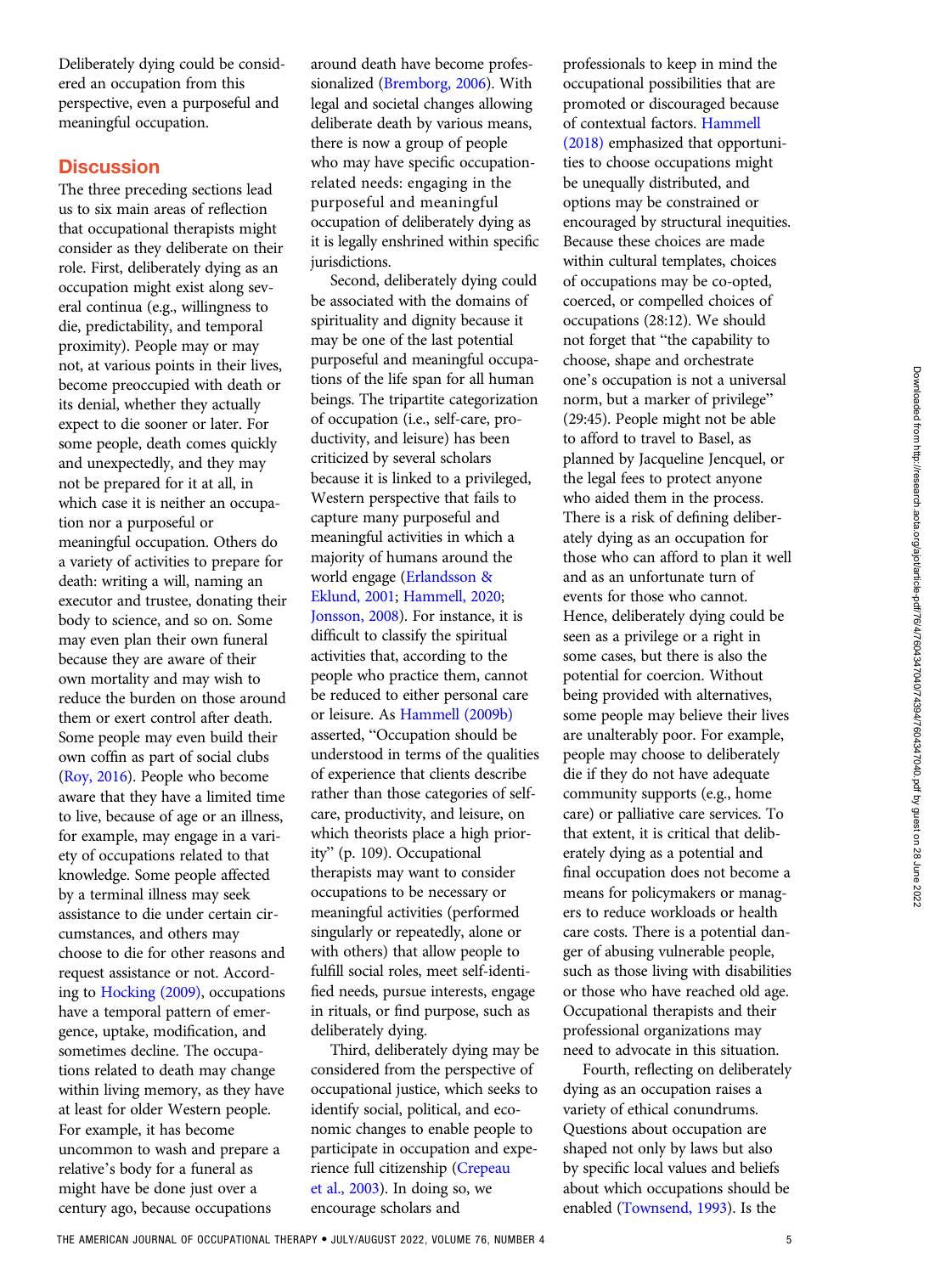Deliberately dying could be considered an occupation from this perspective, even a purposeful and meaningful occupation.

## **Discussion**

The three preceding sections lead us to six main areas of reflection that occupational therapists might consider as they deliberate on their role. First, deliberately dying as an occupation might exist along several continua (e.g., willingness to die, predictability, and temporal proximity). People may or may not, at various points in their lives, become preoccupied with death or its denial, whether they actually expect to die sooner or later. For some people, death comes quickly and unexpectedly, and they may not be prepared for it at all, in which case it is neither an occupation nor a purposeful or meaningful occupation. Others do a variety of activities to prepare for death: writing a will, naming an executor and trustee, donating their body to science, and so on. Some may even plan their own funeral because they are aware of their own mortality and may wish to reduce the burden on those around them or exert control after death. Some people may even build their own coffin as part of social clubs [\(Roy, 2016](#page-7-0)). People who become aware that they have a limited time to live, because of age or an illness, for example, may engage in a variety of occupations related to that knowledge. Some people affected by a terminal illness may seek assistance to die under certain circumstances, and others may choose to die for other reasons and request assistance or not. According to [Hocking \(2009\)](#page-7-0), occupations have a temporal pattern of emergence, uptake, modification, and sometimes decline. The occupations related to death may change within living memory, as they have at least for older Western people. For example, it has become uncommon to wash and prepare a relative's body for a funeral as might have be done just over a century ago, because occupations

around death have become professionalized ([Bremborg, 2006](#page-6-0)). With legal and societal changes allowing deliberate death by various means, there is now a group of people who may have specific occupationrelated needs: engaging in the purposeful and meaningful occupation of deliberately dying as it is legally enshrined within specific jurisdictions.

Second, deliberately dying could be associated with the domains of spirituality and dignity because it may be one of the last potential purposeful and meaningful occupations of the life span for all human beings. The tripartite categorization of occupation (i.e., self-care, productivity, and leisure) has been criticized by several scholars because it is linked to a privileged, Western perspective that fails to capture many purposeful and meaningful activities in which a majority of humans around the world engage [\(Erlandsson &](#page-6-0) [Eklund, 2001;](#page-6-0) [Hammell, 2020;](#page-7-0) [Jonsson, 2008](#page-7-0)). For instance, it is difficult to classify the spiritual activities that, according to the people who practice them, cannot be reduced to either personal care or leisure. As [Hammell \(2009b\)](#page-6-0) asserted, "Occupation should be understood in terms of the qualities of experience that clients describe rather than those categories of selfcare, productivity, and leisure, on which theorists place a high priority" (p. 109). Occupational therapists may want to consider occupations to be necessary or meaningful activities (performed singularly or repeatedly, alone or with others) that allow people to fulfill social roles, meet self-identified needs, pursue interests, engage in rituals, or find purpose, such as deliberately dying.

Third, deliberately dying may be considered from the perspective of occupational justice, which seeks to identify social, political, and economic changes to enable people to participate in occupation and experience full citizenship ([Crepeau](#page-6-0) [et al., 2003](#page-6-0)). In doing so, we encourage scholars and

professionals to keep in mind the occupational possibilities that are promoted or discouraged because of contextual factors. [Hammell](#page-7-0) [\(2018\)](#page-7-0) emphasized that opportunities to choose occupations might be unequally distributed, and options may be constrained or encouraged by structural inequities. Because these choices are made within cultural templates, choices of occupations may be co-opted, coerced, or compelled choices of occupations (28:12). We should not forget that "the capability to choose, shape and orchestrate one's occupation is not a universal norm, but a marker of privilege" (29:45). People might not be able to afford to travel to Basel, as planned by Jacqueline Jencquel, or the legal fees to protect anyone who aided them in the process. There is a risk of defining deliberately dying as an occupation for those who can afford to plan it well and as an unfortunate turn of events for those who cannot. Hence, deliberately dying could be seen as a privilege or a right in some cases, but there is also the potential for coercion. Without being provided with alternatives, some people may believe their lives are unalterably poor. For example, people may choose to deliberately die if they do not have adequate community supports (e.g., home care) or palliative care services. To that extent, it is critical that deliberately dying as a potential and final occupation does not become a means for policymakers or managers to reduce workloads or health care costs. There is a potential danger of abusing vulnerable people, such as those living with disabilities or those who have reached old age. Occupational therapists and their professional organizations may need to advocate in this situation.

Fourth, reflecting on deliberately dying as an occupation raises a variety of ethical conundrums. Questions about occupation are shaped not only by laws but also by specific local values and beliefs about which occupations should be enabled [\(Townsend, 1993\)](#page-7-0). Is the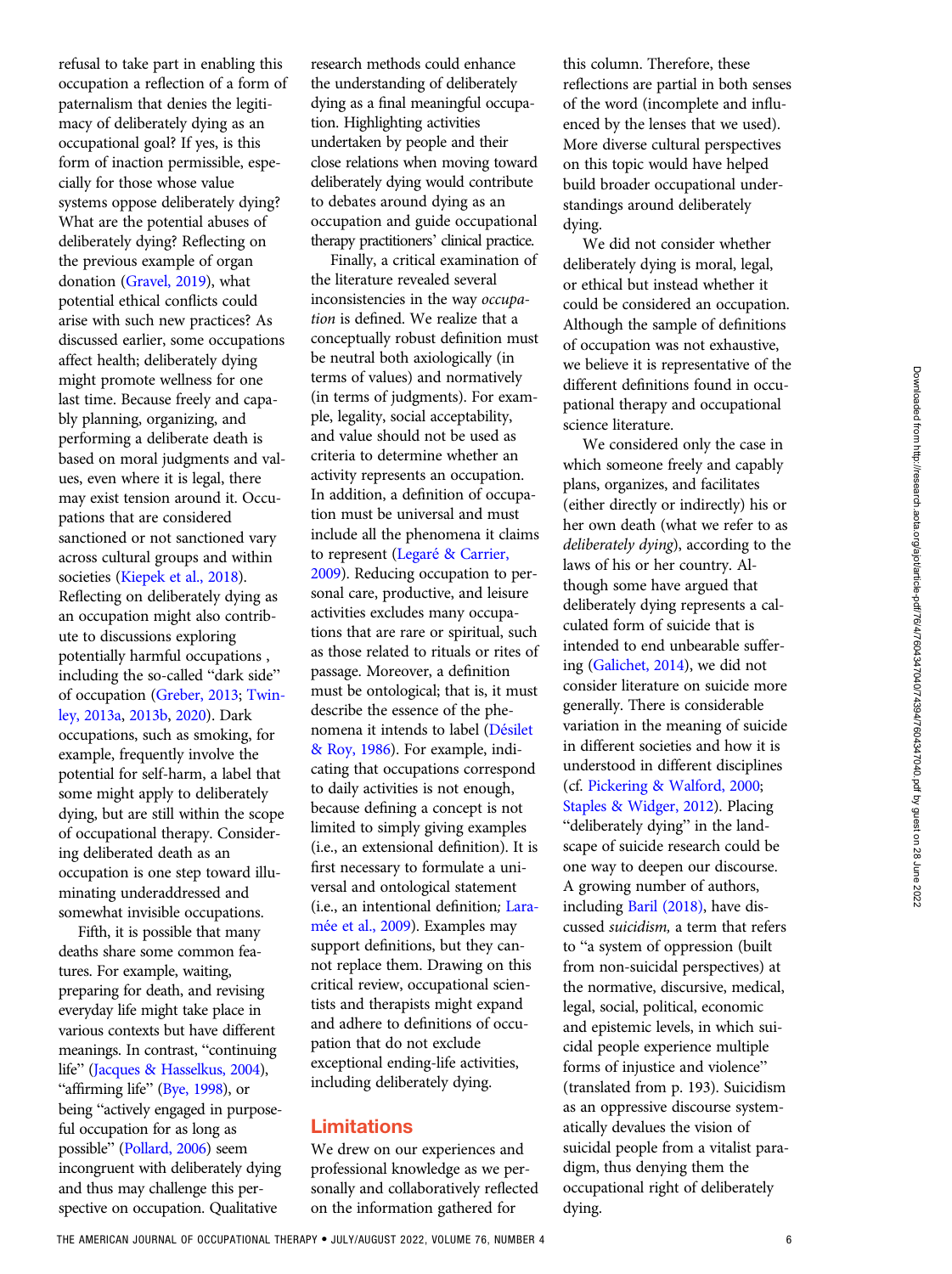refusal to take part in enabling this occupation a reflection of a form of paternalism that denies the legitimacy of deliberately dying as an occupational goal? If yes, is this form of inaction permissible, especially for those whose value systems oppose deliberately dying? What are the potential abuses of deliberately dying? Reflecting on the previous example of organ donation [\(Gravel, 2019](#page-6-0)), what potential ethical conflicts could arise with such new practices? As discussed earlier, some occupations affect health; deliberately dying might promote wellness for one last time. Because freely and capably planning, organizing, and performing a deliberate death is based on moral judgments and values, even where it is legal, there may exist tension around it. Occupations that are considered sanctioned or not sanctioned vary across cultural groups and within societies [\(Kiepek et al., 2018](#page-7-0)). Reflecting on deliberately dying as an occupation might also contribute to discussions exploring potentially harmful occupations , including the so-called "dark side" of occupation ([Greber, 2013](#page-6-0); [Twin](#page-7-0)[ley, 2013a](#page-7-0), [2013b,](#page-7-0) [2020](#page-7-0)). Dark occupations, such as smoking, for example, frequently involve the potential for self-harm, a label that some might apply to deliberately dying, but are still within the scope of occupational therapy. Considering deliberated death as an occupation is one step toward illuminating underaddressed and somewhat invisible occupations. Fifth, it is possible that many

deaths share some common features. For example, waiting, preparing for death, and revising everyday life might take place in various contexts but have different meanings. In contrast, "continuing life" [\(Jacques & Hasselkus, 2004\)](#page-7-0), "affirming life" [\(Bye, 1998\)](#page-6-0), or being "actively engaged in purposeful occupation for as long as possible" [\(Pollard, 2006\)](#page-7-0) seem incongruent with deliberately dying and thus may challenge this perspective on occupation. Qualitative

research methods could enhance the understanding of deliberately dying as a final meaningful occupation. Highlighting activities undertaken by people and their close relations when moving toward deliberately dying would contribute to debates around dying as an occupation and guide occupational therapy practitioners' clinical practice.

Finally, a critical examination of the literature revealed several inconsistencies in the way occupation is defined. We realize that a conceptually robust definition must be neutral both axiologically (in terms of values) and normatively (in terms of judgments). For example, legality, social acceptability, and value should not be used as criteria to determine whether an activity represents an occupation. In addition, a definition of occupation must be universal and must include all the phenomena it claims to represent (Legaré [& Carrier,](#page-7-0) [2009](#page-7-0)). Reducing occupation to personal care, productive, and leisure activities excludes many occupations that are rare or spiritual, such as those related to rituals or rites of passage. Moreover, a definition must be ontological; that is, it must describe the essence of the phenomena it intends to label (Dé[silet](#page-6-0) [& Roy, 1986\)](#page-6-0). For example, indicating that occupations correspond to daily activities is not enough, because defining a concept is not limited to simply giving examples (i.e., an extensional definition). It is first necessary to formulate a universal and ontological statement (i.e., an intentional definition; [Lara](#page-7-0)mé[e et al., 2009](#page-7-0)). Examples may support definitions, but they cannot replace them. Drawing on this critical review, occupational scientists and therapists might expand and adhere to definitions of occupation that do not exclude exceptional ending-life activities, including deliberately dying.

#### Limitations

We drew on our experiences and professional knowledge as we personally and collaboratively reflected on the information gathered for

this column. Therefore, these reflections are partial in both senses of the word (incomplete and influenced by the lenses that we used). More diverse cultural perspectives on this topic would have helped build broader occupational understandings around deliberately dying.

We did not consider whether deliberately dying is moral, legal, or ethical but instead whether it could be considered an occupation. Although the sample of definitions of occupation was not exhaustive, we believe it is representative of the different definitions found in occupational therapy and occupational science literature.

We considered only the case in which someone freely and capably plans, organizes, and facilitates (either directly or indirectly) his or her own death (what we refer to as deliberately dying), according to the laws of his or her country. Although some have argued that deliberately dying represents a calculated form of suicide that is intended to end unbearable suffering [\(Galichet, 2014](#page-6-0)), we did not consider literature on suicide more generally. There is considerable variation in the meaning of suicide in different societies and how it is understood in different disciplines (cf. [Pickering & Walford, 2000;](#page-7-0) [Staples & Widger, 2012](#page-7-0)). Placing "deliberately dying" in the landscape of suicide research could be one way to deepen our discourse. A growing number of authors, including [Baril \(2018\),](#page-6-0) have discussed suicidism, a term that refers to "a system of oppression (built from non-suicidal perspectives) at the normative, discursive, medical, legal, social, political, economic and epistemic levels, in which suicidal people experience multiple forms of injustice and violence" (translated from p. 193). Suicidism as an oppressive discourse systematically devalues the vision of suicidal people from a vitalist paradigm, thus denying them the occupational right of deliberately dying.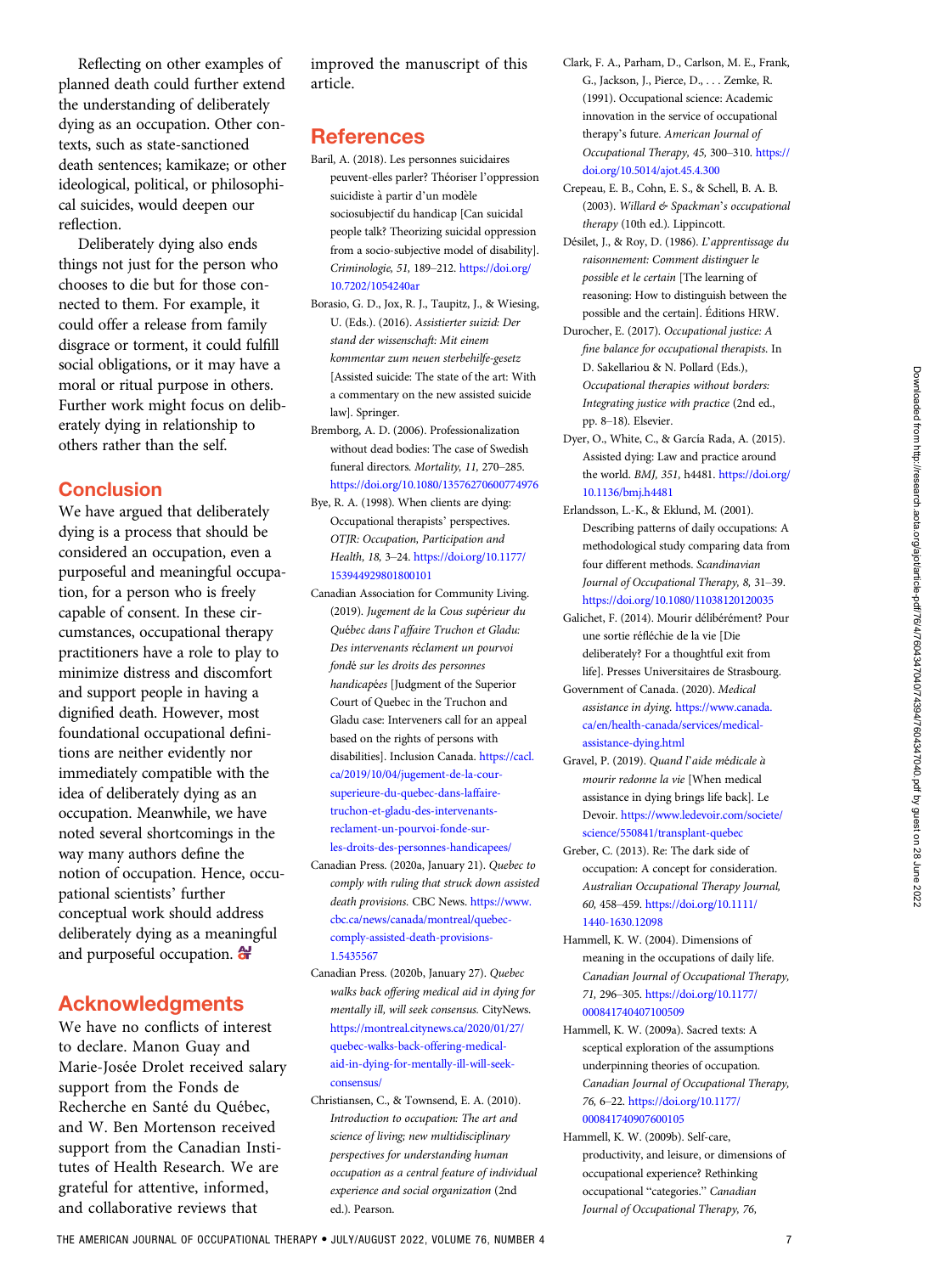<span id="page-6-0"></span>Reflecting on other examples of planned death could further extend the understanding of deliberately dying as an occupation. Other contexts, such as state-sanctioned death sentences; kamikaze; or other ideological, political, or philosophical suicides, would deepen our reflection.

Deliberately dying also ends things not just for the person who chooses to die but for those connected to them. For example, it could offer a release from family disgrace or torment, it could fulfill social obligations, or it may have a moral or ritual purpose in others. Further work might focus on deliberately dying in relationship to others rather than the self.

## **Conclusion**

We have argued that deliberately dying is a process that should be considered an occupation, even a purposeful and meaningful occupation, for a person who is freely capable of consent. In these circumstances, occupational therapy practitioners have a role to play to minimize distress and discomfort and support people in having a dignified death. However, most foundational occupational definitions are neither evidently nor immediately compatible with the idea of deliberately dying as an occupation. Meanwhile, we have noted several shortcomings in the way many authors define the notion of occupation. Hence, occupational scientists' further conceptual work should address deliberately dying as a meaningful and purposeful occupation.  $\mathbf{\hat{a}}$ 

## Acknowledgments

We have no conflicts of interest to declare. Manon Guay and Marie-Josée Drolet received salary support from the Fonds de Recherche en Santé du Québec, and W. Ben Mortenson received support from the Canadian Institutes of Health Research. We are grateful for attentive, informed, and collaborative reviews that

improved the manuscript of this article.

## **References**

- Baril, A. (2018). Les personnes suicidaires peuvent-elles parler? Théoriser l'oppression suicidiste à partir d'un modèle sociosubjectif du handicap [Can suicidal people talk? Theorizing suicidal oppression from a socio-subjective model of disability]. Criminologie, 51, 189–212. [https://doi.org/](https://doi.org/10.7202/1054240ar) [10.7202/1054240ar](https://doi.org/10.7202/1054240ar)
- Borasio, G. D., Jox, R. J., Taupitz, J., & Wiesing, U. (Eds.). (2016). Assistierter suizid: Der stand der wissenschaft: Mit einem kommentar zum neuen sterbehilfe-gesetz [Assisted suicide: The state of the art: With a commentary on the new assisted suicide law]. Springer.
- Bremborg, A. D. (2006). Professionalization without dead bodies: The case of Swedish funeral directors. Mortality, 11, 270–285. <https://doi.org/10.1080/13576270600774976>
- Bye, R. A. (1998). When clients are dying: Occupational therapists' perspectives. OTJR: Occupation, Participation and Health, 18, 3–24. [https://doi.org/10.1177/](https://doi.org/10.1177/153944929801800101) [153944929801800101](https://doi.org/10.1177/153944929801800101)
- Canadian Association for Community Living. (2019). Jugement de la Cous supérieur du Québec dans l'affaire Truchon et Gladu: Des intervenants réclament un pourvoi fondé sur les droits des personnes handicapées [Judgment of the Superior Court of Quebec in the Truchon and Gladu case: Interveners call for an appeal based on the rights of persons with disabilities]. Inclusion Canada. [https://cacl.](https://cacl.ca/2019/10/04/jugement-de-la-cour-superieure-du-quebec-dans-laffaire-truchon-et-gladu-des-intervenants-reclament-un-pourvoi-fonde-sur-les-droits-des-personnes-handicapees/) [ca/2019/10/04/jugement-de-la-cour](https://cacl.ca/2019/10/04/jugement-de-la-cour-superieure-du-quebec-dans-laffaire-truchon-et-gladu-des-intervenants-reclament-un-pourvoi-fonde-sur-les-droits-des-personnes-handicapees/)[superieure-du-quebec-dans-laffaire](https://cacl.ca/2019/10/04/jugement-de-la-cour-superieure-du-quebec-dans-laffaire-truchon-et-gladu-des-intervenants-reclament-un-pourvoi-fonde-sur-les-droits-des-personnes-handicapees/)[truchon-et-gladu-des-intervenants](https://cacl.ca/2019/10/04/jugement-de-la-cour-superieure-du-quebec-dans-laffaire-truchon-et-gladu-des-intervenants-reclament-un-pourvoi-fonde-sur-les-droits-des-personnes-handicapees/)[reclament-un-pourvoi-fonde-sur](https://cacl.ca/2019/10/04/jugement-de-la-cour-superieure-du-quebec-dans-laffaire-truchon-et-gladu-des-intervenants-reclament-un-pourvoi-fonde-sur-les-droits-des-personnes-handicapees/)[les-droits-des-personnes-handicapees/](https://cacl.ca/2019/10/04/jugement-de-la-cour-superieure-du-quebec-dans-laffaire-truchon-et-gladu-des-intervenants-reclament-un-pourvoi-fonde-sur-les-droits-des-personnes-handicapees/)
- Canadian Press. (2020a, January 21). Quebec to comply with ruling that struck down assisted death provisions. CBC News. [https://www.](https://www.cbc.ca/news/canada/montreal/quebec-comply-assisted-death-provisions-1.5435567) [cbc.ca/news/canada/montreal/quebec](https://www.cbc.ca/news/canada/montreal/quebec-comply-assisted-death-provisions-1.5435567)[comply-assisted-death-provisions-](https://www.cbc.ca/news/canada/montreal/quebec-comply-assisted-death-provisions-1.5435567)[1.5435567](https://www.cbc.ca/news/canada/montreal/quebec-comply-assisted-death-provisions-1.5435567)
- Canadian Press. (2020b, January 27). Quebec walks back offering medical aid in dying for mentally ill, will seek consensus. CityNews. [https://montreal.citynews.ca/2020/01/27/](https://montreal.citynews.ca/2020/01/27/quebec-walks-back-offering-medical-aid-in-dying-for-mentally-ill-will-seek-consensus/) [quebec-walks-back-offering-medical](https://montreal.citynews.ca/2020/01/27/quebec-walks-back-offering-medical-aid-in-dying-for-mentally-ill-will-seek-consensus/)[aid-in-dying-for-mentally-ill-will-seek](https://montreal.citynews.ca/2020/01/27/quebec-walks-back-offering-medical-aid-in-dying-for-mentally-ill-will-seek-consensus/)[consensus/](https://montreal.citynews.ca/2020/01/27/quebec-walks-back-offering-medical-aid-in-dying-for-mentally-ill-will-seek-consensus/)
- Christiansen, C., & Townsend, E. A. (2010). Introduction to occupation: The art and science of living; new multidisciplinary perspectives for understanding human occupation as a central feature of individual experience and social organization (2nd ed.). Pearson.
- Clark, F. A., Parham, D., Carlson, M. E., Frank, G., Jackson, J., Pierce, D., . . . Zemke, R. (1991). Occupational science: Academic innovation in the service of occupational therapy's future. American Journal of Occupational Therapy, 45, 300–310. [https://](https://doi.org/10.5014/ajot.45.4.300) [doi.org/10.5014/ajot.45.4.300](https://doi.org/10.5014/ajot.45.4.300)
- Crepeau, E. B., Cohn, E. S., & Schell, B. A. B. (2003). Willard & Spackman's occupational therapy (10th ed.). Lippincott.
- Désilet, J., & Roy, D. (1986). L'apprentissage du raisonnement: Comment distinguer le possible et le certain [The learning of reasoning: How to distinguish between the possible and the certain]. Editions HRW.
- Durocher, E. (2017). Occupational justice: A fine balance for occupational therapists. In D. Sakellariou & N. Pollard (Eds.), Occupational therapies without borders: Integrating justice with practice (2nd ed., pp. 8–18). Elsevier.
- Dyer, O., White, C., & García Rada, A. (2015). Assisted dying: Law and practice around the world. BMJ, 351, h4481. [https://doi.org/](https://doi.org/10.1136/bmj.h4481) [10.1136/bmj.h4481](https://doi.org/10.1136/bmj.h4481)
- Erlandsson, L.-K., & Eklund, M. (2001). Describing patterns of daily occupations: A methodological study comparing data from four different methods. Scandinavian Journal of Occupational Therapy, 8, 31–39. <https://doi.org/10.1080/11038120120035>
- Galichet, F. (2014). Mourir délibérément? Pour une sortie réfléchie de la vie [Die deliberately? For a thoughtful exit from life]. Presses Universitaires de Strasbourg.
- Government of Canada. (2020). Medical assistance in dying. [https://www.canada.](https://www.canada.ca/en/health-canada/services/medical-assistance-dying.html) [ca/en/health-canada/services/medical](https://www.canada.ca/en/health-canada/services/medical-assistance-dying.html)[assistance-dying.html](https://www.canada.ca/en/health-canada/services/medical-assistance-dying.html)
- Gravel, P. (2019). Quand l'aide médicale a mourir redonne la vie [When medical assistance in dying brings life back]. Le Devoir. [https://www.ledevoir.com/societe/](https://www.ledevoir.com/societe/science/550841/transplant-quebec) [science/550841/transplant-quebec](https://www.ledevoir.com/societe/science/550841/transplant-quebec)
- Greber, C. (2013). Re: The dark side of occupation: A concept for consideration. Australian Occupational Therapy Journal, 60, 458–459. [https://doi.org/10.1111/](https://doi.org/10.1111/1440-1630.12098) [1440-1630.12098](https://doi.org/10.1111/1440-1630.12098)
- Hammell, K. W. (2004). Dimensions of meaning in the occupations of daily life. Canadian Journal of Occupational Therapy, 71, 296–305. [https://doi.org/10.1177/](https://doi.org/10.1177/000841740407100509) [000841740407100509](https://doi.org/10.1177/000841740407100509)
- Hammell, K. W. (2009a). Sacred texts: A sceptical exploration of the assumptions underpinning theories of occupation. Canadian Journal of Occupational Therapy, 76, 6–22. [https://doi.org/10.1177/](https://doi.org/10.1177/000841740907600105) [000841740907600105](https://doi.org/10.1177/000841740907600105)
- Hammell, K. W. (2009b). Self-care, productivity, and leisure, or dimensions of occupational experience? Rethinking occupational "categories." Canadian Journal of Occupational Therapy, 76,

THE AMERICAN JOURNAL OF OCCUPATIONAL THERAPY .JULY/AUGUST 2022, VOLUME 76, NUMBER 4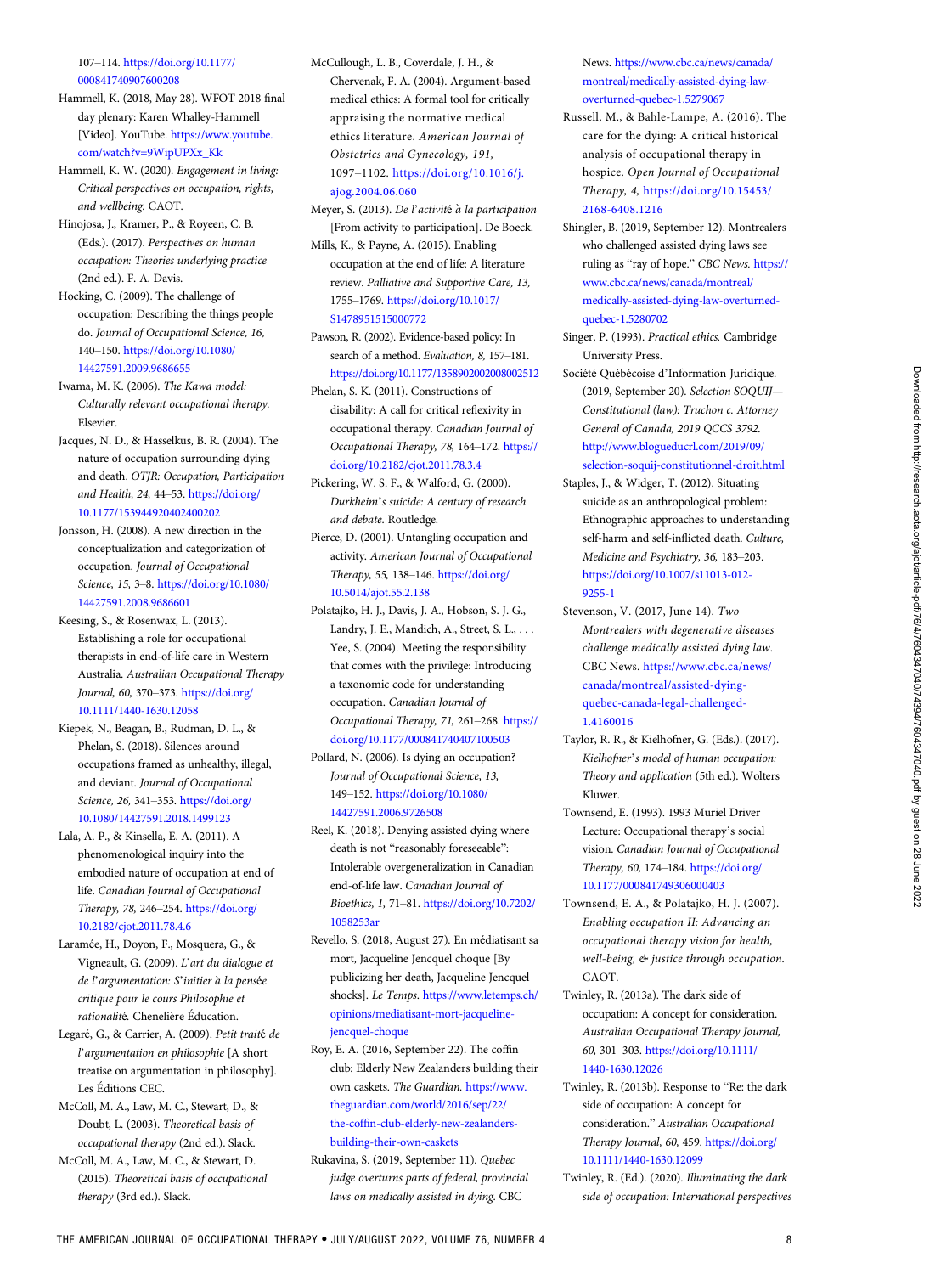<span id="page-7-0"></span>107–114. [https://doi.org/10.1177/](https://doi.org/10.1177/000841740907600208) [000841740907600208](https://doi.org/10.1177/000841740907600208)

Hammell, K. (2018, May 28). WFOT 2018 final day plenary: Karen Whalley-Hammell [Video]. YouTube. [https://www.youtube.](https://www.youtube.com/watch?v&hx003D;9WipUPXx_Kk) [com/watch?v=9WipUPXx\\_Kk](https://www.youtube.com/watch?v&hx003D;9WipUPXx_Kk)

Hammell, K. W. (2020). Engagement in living: Critical perspectives on occupation, rights, and wellbeing. CAOT.

Hinojosa, J., Kramer, P., & Royeen, C. B. (Eds.). (2017). Perspectives on human occupation: Theories underlying practice (2nd ed.). F. A. Davis.

Hocking, C. (2009). The challenge of occupation: Describing the things people do. Journal of Occupational Science, 16, 140–150. [https://doi.org/10.1080/](https://doi.org/10.1080/14427591.2009.9686655) [14427591.2009.9686655](https://doi.org/10.1080/14427591.2009.9686655)

Iwama, M. K. (2006). The Kawa model: Culturally relevant occupational therapy. Elsevier.

Jacques, N. D., & Hasselkus, B. R. (2004). The nature of occupation surrounding dying and death. OTJR: Occupation, Participation and Health, 24, 44–53. [https://doi.org/](https://doi.org/10.1177/153944920402400202) [10.1177/153944920402400202](https://doi.org/10.1177/153944920402400202)

Jonsson, H. (2008). A new direction in the conceptualization and categorization of occupation. Journal of Occupational Science, 15, 3–8. [https://doi.org/10.1080/](https://doi.org/10.1080/14427591.2008.9686601) [14427591.2008.9686601](https://doi.org/10.1080/14427591.2008.9686601)

Keesing, S., & Rosenwax, L. (2013). Establishing a role for occupational therapists in end-of-life care in Western Australia. Australian Occupational Therapy Journal, 60, 370–373. [https://doi.org/](https://doi.org/10.1111/1440-1630.12058) [10.1111/1440-1630.12058](https://doi.org/10.1111/1440-1630.12058)

Kiepek, N., Beagan, B., Rudman, D. L., & Phelan, S. (2018). Silences around occupations framed as unhealthy, illegal, and deviant. Journal of Occupational Science, 26, 341–353. [https://doi.org/](https://doi.org/10.1080/14427591.2018.1499123) [10.1080/14427591.2018.1499123](https://doi.org/10.1080/14427591.2018.1499123)

Lala, A. P., & Kinsella, E. A. (2011). A phenomenological inquiry into the embodied nature of occupation at end of life. Canadian Journal of Occupational Therapy, 78, 246–254. [https://doi.org/](https://doi.org/10.2182/cjot.2011.78.4.6) [10.2182/cjot.2011.78.4.6](https://doi.org/10.2182/cjot.2011.78.4.6)

Laramée, H., Doyon, F., Mosquera, G., & Vigneault, G. (2009). L'art du dialogue et de l'argumentation: S'initier à la pensée critique pour le cours Philosophie et rationalité. Cheneliere Education.

Legaré, G., & Carrier, A. (2009). Petit traité de l'argumentation en philosophie [A short treatise on argumentation in philosophy]. Les Editions CEC.

McColl, M. A., Law, M. C., Stewart, D., & Doubt, L. (2003). Theoretical basis of occupational therapy (2nd ed.). Slack.

McColl, M. A., Law, M. C., & Stewart, D. (2015). Theoretical basis of occupational therapy (3rd ed.). Slack.

McCullough, L. B., Coverdale, J. H., & Chervenak, F. A. (2004). Argument-based medical ethics: A formal tool for critically appraising the normative medical ethics literature. American Journal of Obstetrics and Gynecology, 191, 1097–1102. [https://doi.org/10.1016/j.](https://doi.org/10.1016/j.ajog.2004.06.060) [ajog.2004.06.060](https://doi.org/10.1016/j.ajog.2004.06.060)

Meyer, S. (2013). De l'activité à la participation [From activity to participation]. De Boeck.

Mills, K., & Payne, A. (2015). Enabling occupation at the end of life: A literature review. Palliative and Supportive Care, 13, 1755–1769. [https://doi.org/10.1017/](https://doi.org/10.1017/S1478951515000772) [S1478951515000772](https://doi.org/10.1017/S1478951515000772)

Pawson, R. (2002). Evidence-based policy: In search of a method. Evaluation, 8, 157–181. <https://doi.org/10.1177/1358902002008002512>

Phelan, S. K. (2011). Constructions of disability: A call for critical reflexivity in occupational therapy. Canadian Journal of Occupational Therapy, 78, 164–172. [https://](https://doi.org/10.2182/cjot.2011.78.3.4) [doi.org/10.2182/cjot.2011.78.3.4](https://doi.org/10.2182/cjot.2011.78.3.4)

Pickering, W. S. F., & Walford, G. (2000). Durkheim's suicide: A century of research and debate. Routledge.

Pierce, D. (2001). Untangling occupation and activity. American Journal of Occupational Therapy, 55, 138–146. [https://doi.org/](https://doi.org/10.5014/ajot.55.2.138) [10.5014/ajot.55.2.138](https://doi.org/10.5014/ajot.55.2.138)

Polatajko, H. J., Davis, J. A., Hobson, S. J. G., Landry, J. E., Mandich, A., Street, S. L., . . . Yee, S. (2004). Meeting the responsibility that comes with the privilege: Introducing a taxonomic code for understanding occupation. Canadian Journal of Occupational Therapy, 71, 261–268. [https://](https://doi.org/10.1177/000841740407100503) [doi.org/10.1177/000841740407100503](https://doi.org/10.1177/000841740407100503)

Pollard, N. (2006). Is dying an occupation? Journal of Occupational Science, 13, 149–152. [https://doi.org/10.1080/](https://doi.org/10.1080/14427591.2006.9726508) [14427591.2006.9726508](https://doi.org/10.1080/14427591.2006.9726508)

Reel, K. (2018). Denying assisted dying where death is not "reasonably foreseeable": Intolerable overgeneralization in Canadian end-of-life law. Canadian Journal of Bioethics, 1, 71–81. [https://doi.org/10.7202/](https://doi.org/10.7202/1058253ar) [1058253ar](https://doi.org/10.7202/1058253ar)

Revello, S. (2018, August 27). En médiatisant sa mort, Jacqueline Jencquel choque [By publicizing her death, Jacqueline Jencquel shocks]. Le Temps. [https://www.letemps.ch/](https://www.letemps.ch/opinions/mediatisant-mort-jacqueline-jencquel-choque) [opinions/mediatisant-mort-jacqueline](https://www.letemps.ch/opinions/mediatisant-mort-jacqueline-jencquel-choque)[jencquel-choque](https://www.letemps.ch/opinions/mediatisant-mort-jacqueline-jencquel-choque)

Roy, E. A. (2016, September 22). The coffin club: Elderly New Zealanders building their own caskets. The Guardian. [https://www.](https://www.theguardian.com/world/2016/sep/22/the-coffin-club-elderly-new-zealanders-building-their-own-caskets) [theguardian.com/world/2016/sep/22/](https://www.theguardian.com/world/2016/sep/22/the-coffin-club-elderly-new-zealanders-building-their-own-caskets) the-coffi[n-club-elderly-new-zealanders](https://www.theguardian.com/world/2016/sep/22/the-coffin-club-elderly-new-zealanders-building-their-own-caskets)[building-their-own-caskets](https://www.theguardian.com/world/2016/sep/22/the-coffin-club-elderly-new-zealanders-building-their-own-caskets)

Rukavina, S. (2019, September 11). Quebec judge overturns parts of federal, provincial laws on medically assisted in dying. CBC

News. [https://www.cbc.ca/news/canada/](https://www.cbc.ca/news/canada/montreal/medically-assisted-dying-law-overturned-quebec-1.5279067) [montreal/medically-assisted-dying-law](https://www.cbc.ca/news/canada/montreal/medically-assisted-dying-law-overturned-quebec-1.5279067)[overturned-quebec-1.5279067](https://www.cbc.ca/news/canada/montreal/medically-assisted-dying-law-overturned-quebec-1.5279067)

- Russell, M., & Bahle-Lampe, A. (2016). The care for the dying: A critical historical analysis of occupational therapy in hospice. Open Journal of Occupational Therapy, 4, [https://doi.org/10.15453/](https://doi.org/10.15453/2168-6408.1216) [2168-6408.1216](https://doi.org/10.15453/2168-6408.1216)
- Shingler, B. (2019, September 12). Montrealers who challenged assisted dying laws see ruling as "ray of hope." CBC News. [https://](https://www.cbc.ca/news/canada/montreal/medically-assisted-dying-law-overturned-quebec-1.5280702) [www.cbc.ca/news/canada/montreal/](https://www.cbc.ca/news/canada/montreal/medically-assisted-dying-law-overturned-quebec-1.5280702) [medically-assisted-dying-law-overturned](https://www.cbc.ca/news/canada/montreal/medically-assisted-dying-law-overturned-quebec-1.5280702)[quebec-1.5280702](https://www.cbc.ca/news/canada/montreal/medically-assisted-dying-law-overturned-quebec-1.5280702)
- Singer, P. (1993). Practical ethics. Cambridge University Press.
- Société Québécoise d'Information Juridique. (2019, September 20). Selection SOQUIJ— Constitutional (law): Truchon c. Attorney General of Canada, 2019 QCCS 3792. [http://www.blogueducrl.com/2019/09/](http://www.blogueducrl.com/2019/09/selection-soquij-constitutionnel-droit.html) [selection-soquij-constitutionnel-droit.html](http://www.blogueducrl.com/2019/09/selection-soquij-constitutionnel-droit.html)
- Staples, J., & Widger, T. (2012). Situating suicide as an anthropological problem: Ethnographic approaches to understanding self-harm and self-inflicted death. Culture, Medicine and Psychiatry, 36, 183–203. [https://doi.org/10.1007/s11013-012-](https://doi.org/10.1007/s11013-012-9255-1) [9255-1](https://doi.org/10.1007/s11013-012-9255-1)
- Stevenson, V. (2017, June 14). Two Montrealers with degenerative diseases challenge medically assisted dying law. CBC News. [https://www.cbc.ca/news/](https://www.cbc.ca/news/canada/montreal/assisted-dying-quebec-canada-legal-challenged-1.4160016) [canada/montreal/assisted-dying](https://www.cbc.ca/news/canada/montreal/assisted-dying-quebec-canada-legal-challenged-1.4160016)[quebec-canada-legal-challenged-](https://www.cbc.ca/news/canada/montreal/assisted-dying-quebec-canada-legal-challenged-1.4160016)[1.4160016](https://www.cbc.ca/news/canada/montreal/assisted-dying-quebec-canada-legal-challenged-1.4160016)
- Taylor, R. R., & Kielhofner, G. (Eds.). (2017). Kielhofner's model of human occupation: Theory and application (5th ed.). Wolters Kluwer.
- Townsend, E. (1993). 1993 Muriel Driver Lecture: Occupational therapy's social vision. Canadian Journal of Occupational Therapy, 60, 174–184. [https://doi.org/](https://doi.org/10.1177/000841749306000403) [10.1177/000841749306000403](https://doi.org/10.1177/000841749306000403)
- Townsend, E. A., & Polatajko, H. J. (2007). Enabling occupation II: Advancing an occupational therapy vision for health, well-being, & justice through occupation. CAOT.
- Twinley, R. (2013a). The dark side of occupation: A concept for consideration. Australian Occupational Therapy Journal, 60, 301–303. [https://doi.org/10.1111/](https://doi.org/10.1111/1440-1630.12026) [1440-1630.12026](https://doi.org/10.1111/1440-1630.12026)
- Twinley, R. (2013b). Response to "Re: the dark side of occupation: A concept for consideration." Australian Occupational Therapy Journal, 60, 459. [https://doi.org/](https://doi.org/10.1111/1440-1630.12099) [10.1111/1440-1630.12099](https://doi.org/10.1111/1440-1630.12099)
- Twinley, R. (Ed.). (2020). Illuminating the dark side of occupation: International perspectives